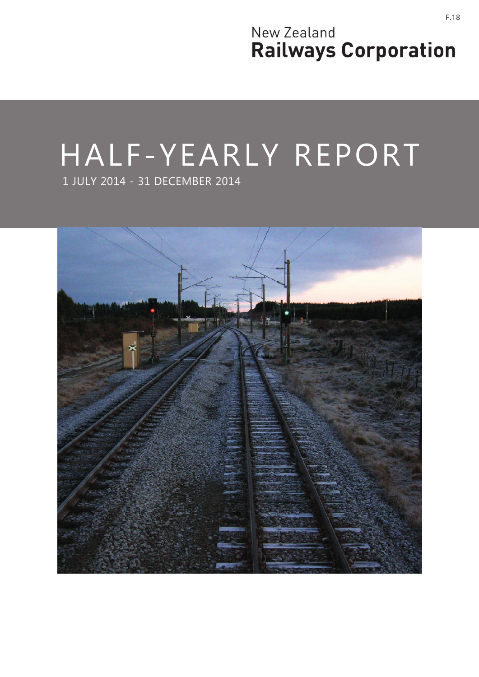New Zealand **Railways Corporation**

# HALF-YEARLY REPORT

1 JULY 2014 - 31 DECEMBER 2014

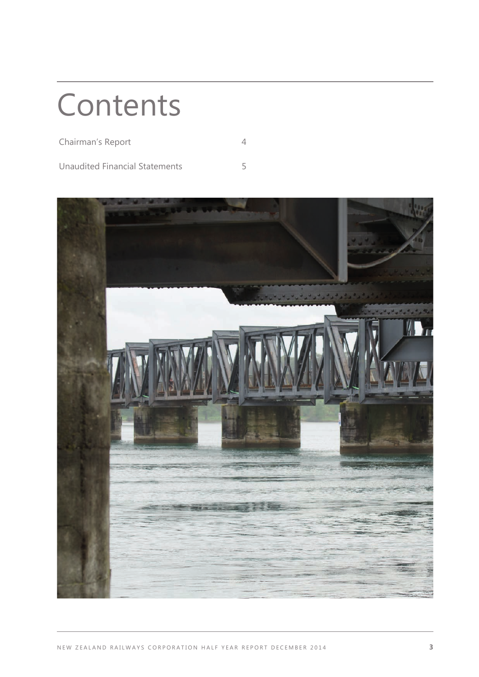## **Contents**

| Chairman's Report              |  |
|--------------------------------|--|
| Unaudited Financial Statements |  |

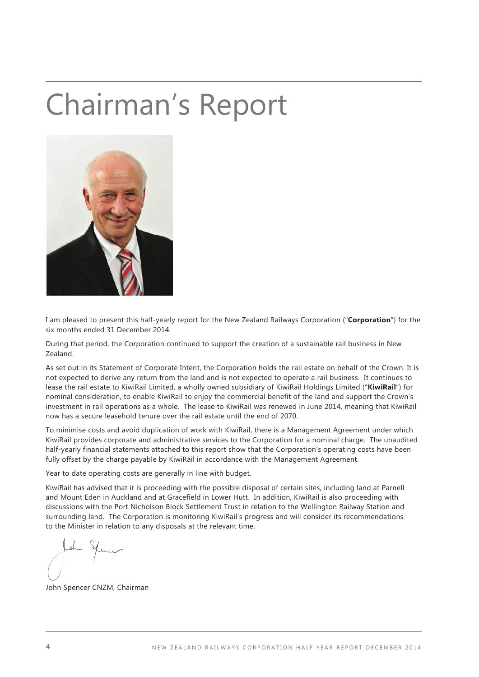## Chairman's Report



I am pleased to present this half-yearly report for the New Zealand Railways Corporation ("**Corporation**") for the six months ended 31 December 2014.

During that period, the Corporation continued to support the creation of a sustainable rail business in New Zealand.

As set out in its Statement of Corporate Intent, the Corporation holds the rail estate on behalf of the Crown. It is not expected to derive any return from the land and is not expected to operate a rail business. It continues to lease the rail estate to KiwiRail Limited, a wholly owned subsidiary of KiwiRail Holdings Limited ("**KiwiRail**") for nominal consideration, to enable KiwiRail to enjoy the commercial benefit of the land and support the Crown's investment in rail operations as a whole. The lease to KiwiRail was renewed in June 2014, meaning that KiwiRail now has a secure leasehold tenure over the rail estate until the end of 2070.

To minimise costs and avoid duplication of work with KiwiRail, there is a Management Agreement under which KiwiRail provides corporate and administrative services to the Corporation for a nominal charge. The unaudited half-yearly financial statements attached to this report show that the Corporation's operating costs have been fully offset by the charge payable by KiwiRail in accordance with the Management Agreement.

Year to date operating costs are generally in line with budget.

KiwiRail has advised that it is proceeding with the possible disposal of certain sites, including land at Parnell and Mount Eden in Auckland and at Gracefield in Lower Hutt. In addition, KiwiRail is also proceeding with discussions with the Port Nicholson Block Settlement Trust in relation to the Wellington Railway Station and surrounding land. The Corporation is monitoring KiwiRail's progress and will consider its recommendations to the Minister in relation to any disposals at the relevant time.

John Spencer CNZM, Chairman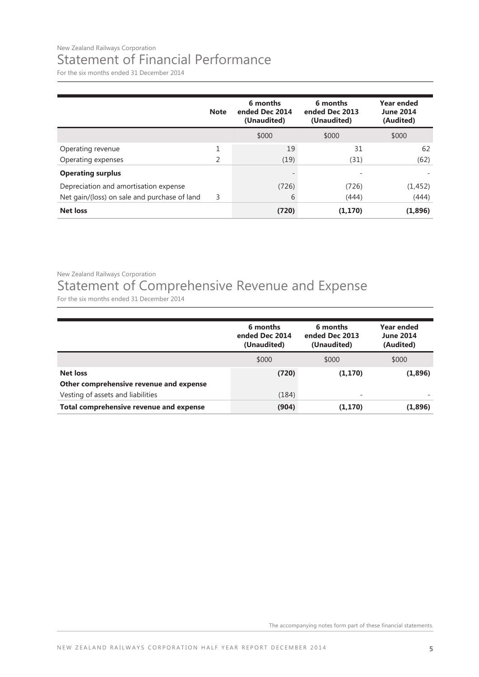#### New Zealand Railways Corporation Statement of Financial Performance

For the six months ended 31 December 2014

|                                              | <b>Note</b> | 6 months<br>ended Dec 2014<br>(Unaudited) | 6 months<br>ended Dec 2013<br>(Unaudited) | Year ended<br><b>June 2014</b><br>(Audited) |
|----------------------------------------------|-------------|-------------------------------------------|-------------------------------------------|---------------------------------------------|
|                                              |             | \$000                                     | \$000                                     | \$000                                       |
| Operating revenue                            | 1           | 19                                        | 31                                        | 62                                          |
| Operating expenses                           | 2           | (19)                                      | (31)                                      | (62)                                        |
| <b>Operating surplus</b>                     |             |                                           | ۰                                         |                                             |
| Depreciation and amortisation expense        |             | (726)                                     | (726)                                     | (1, 452)                                    |
| Net gain/(loss) on sale and purchase of land | 3           | 6                                         | (444)                                     | (444)                                       |
| <b>Net loss</b>                              |             | (720)                                     | (1, 170)                                  | (1,896)                                     |

New Zealand Railways Corporation

### Statement of Comprehensive Revenue and Expense

For the six months ended 31 December 2014

|                                         | 6 months<br>ended Dec 2014<br>(Unaudited) | 6 months<br>ended Dec 2013<br>(Unaudited) | <b>Year ended</b><br><b>June 2014</b><br>(Audited) |
|-----------------------------------------|-------------------------------------------|-------------------------------------------|----------------------------------------------------|
|                                         | \$000                                     | \$000                                     | \$000                                              |
| <b>Net loss</b>                         | (720)                                     | (1, 170)                                  | (1,896)                                            |
| Other comprehensive revenue and expense |                                           |                                           |                                                    |
| Vesting of assets and liabilities       | (184)                                     | $\overline{\phantom{a}}$                  |                                                    |
| Total comprehensive revenue and expense | (904)                                     | (1, 170)                                  | (1,896)                                            |

The accompanying notes form part of these financial statements.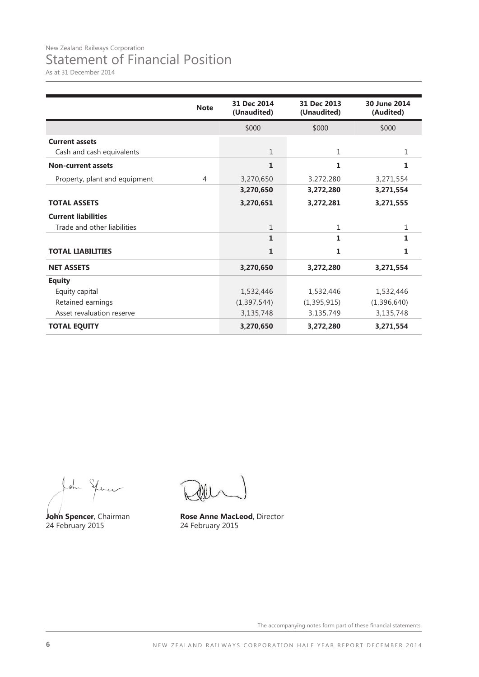As at 31 December 2014

|                               | <b>Note</b> | 31 Dec 2014<br>(Unaudited) | 31 Dec 2013<br>(Unaudited) | 30 June 2014<br>(Audited) |
|-------------------------------|-------------|----------------------------|----------------------------|---------------------------|
|                               |             | \$000                      | \$000                      | \$000                     |
| <b>Current assets</b>         |             |                            |                            |                           |
| Cash and cash equivalents     |             | $\mathbf{1}$               | $\mathbf{1}$               | 1                         |
| <b>Non-current assets</b>     |             | 1                          | 1                          | 1                         |
| Property, plant and equipment | 4           | 3,270,650                  | 3,272,280                  | 3,271,554                 |
|                               |             | 3,270,650                  | 3,272,280                  | 3,271,554                 |
| <b>TOTAL ASSETS</b>           |             | 3,270,651                  | 3,272,281                  | 3,271,555                 |
| <b>Current liabilities</b>    |             |                            |                            |                           |
| Trade and other liabilities   |             | $\mathbf{1}$               | 1                          | 1                         |
|                               |             | $\mathbf{1}$               | 1                          | $\mathbf{1}$              |
| <b>TOTAL LIABILITIES</b>      |             | $\mathbf{1}$               | 1                          | 1                         |
| <b>NET ASSETS</b>             |             | 3,270,650                  | 3,272,280                  | 3,271,554                 |
| <b>Equity</b>                 |             |                            |                            |                           |
| Equity capital                |             | 1,532,446                  | 1,532,446                  | 1,532,446                 |
| Retained earnings             |             | (1, 397, 544)              | (1, 395, 915)              | (1,396,640)               |
| Asset revaluation reserve     |             | 3,135,748                  | 3,135,749                  | 3,135,748                 |
| <b>TOTAL EQUITY</b>           |             | 3,270,650                  | 3,272,280                  | 3,271,554                 |

John Spincer

John Spencer, Chairman<br>24 February 2015

**Rose Anne MacLeod**, Director<br>24 February 2015

The accompanying notes form part of these financial statements.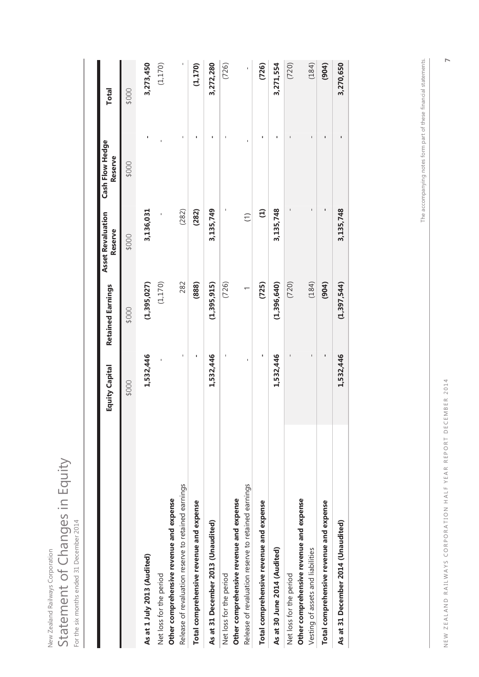|                                                     | <b>Equity Capital</b> | <b>Retained Earnings</b> | <b>Asset Revaluation</b><br>Reserve | Cash Flow Hedge<br>Reserve | <b>Total</b> |
|-----------------------------------------------------|-----------------------|--------------------------|-------------------------------------|----------------------------|--------------|
|                                                     | \$000                 | \$000                    | \$000                               | \$000                      | \$000        |
| As at 1 July 2013 (Audited)                         | 1,532,446             | (1, 395, 027)            | 3,136,031                           |                            | 3,273,450    |
| Net loss for the period                             |                       | (1, 170)                 |                                     |                            | (1, 170)     |
| Other comprehensive revenue and expense             |                       |                          |                                     |                            |              |
| Release of revaluation reserve to retained earnings | ı                     | 282                      | (282)                               | ı                          |              |
| Total comprehensive revenue and expense             |                       | (888)                    | (282)                               |                            | (1, 170)     |
| As at 31 December 2013 (Unaudited)                  | 1,532,446             | (1, 395, 915)            | 3,135,749                           |                            | 3,272,280    |
| Net loss for the period                             |                       | (726)                    |                                     | ı                          | (726)        |
| Other comprehensive revenue and expense             |                       |                          |                                     |                            |              |
| Release of revaluation reserve to retained earnings |                       |                          | $\widehat{\Xi}$                     |                            | ı            |
| Total comprehensive revenue and expense             | ı                     | (725)                    | $\ominus$                           |                            | (726)        |
| As at 30 June 2014 (Audited)                        | 1,532,446             | (1, 396, 640)            | 3,135,748                           |                            | 3,271,554    |
| Net loss for the period                             |                       | (720)                    |                                     |                            | (720)        |
| Other comprehensive revenue and expense             |                       |                          |                                     |                            |              |
| Vesting of assets and liabilities                   | ı                     | (184)                    | ı                                   | ı                          | (184)        |
| Total comprehensive revenue and expense             | ı                     | (904)                    | ı                                   | ı                          | (904)        |
| As at 31 December 2014 (Unaudited)                  | 1,532,446             | (1, 397, 544)            | 3,135,748                           | ı                          | 3,270,650    |

New Zealand Railways Corporation

New Zealand Railways Corporation

Statement of Changes in Equity

Statement of Changes in Equity

For the six months ended 31 December 2014

I

The accompanying notes form part of these financial statements. The accompanying notes form part of these financial statements.

**7**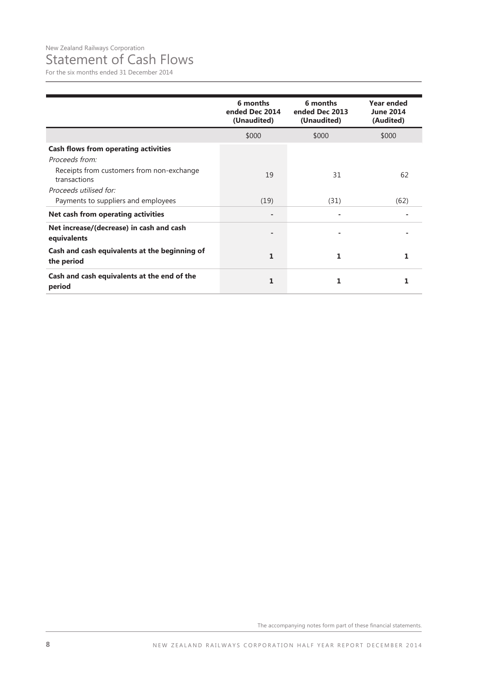### Statement of Cash Flows

For the six months ended 31 December 2014

|                                                             | 6 months<br>ended Dec 2014<br>(Unaudited) | 6 months<br>ended Dec 2013<br>(Unaudited) | <b>Year ended</b><br><b>June 2014</b><br>(Audited) |
|-------------------------------------------------------------|-------------------------------------------|-------------------------------------------|----------------------------------------------------|
|                                                             | \$000                                     | \$000                                     | \$000                                              |
| <b>Cash flows from operating activities</b>                 |                                           |                                           |                                                    |
| Proceeds from:                                              |                                           |                                           |                                                    |
| Receipts from customers from non-exchange<br>transactions   | 19                                        | 31                                        | 62                                                 |
| Proceeds utilised for:                                      |                                           |                                           |                                                    |
| Payments to suppliers and employees                         | (19)                                      | (31)                                      | (62)                                               |
| Net cash from operating activities                          |                                           |                                           |                                                    |
| Net increase/(decrease) in cash and cash<br>equivalents     |                                           |                                           |                                                    |
| Cash and cash equivalents at the beginning of<br>the period | 1                                         | 1                                         |                                                    |
| Cash and cash equivalents at the end of the<br>period       | 1                                         | 1                                         | 1                                                  |

The accompanying notes form part of these financial statements.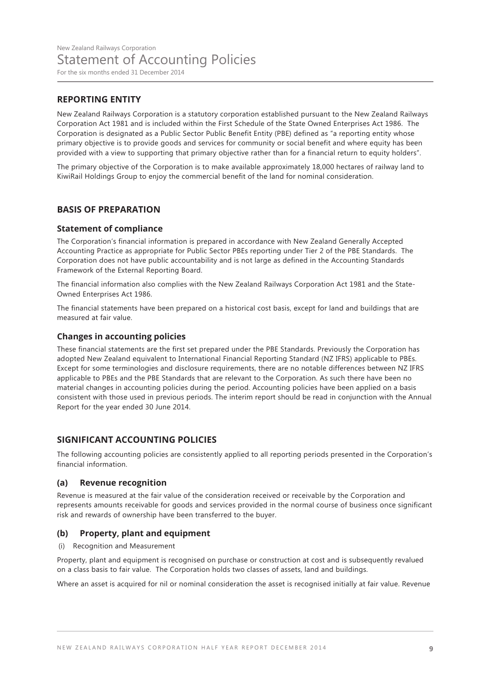#### **REPORTING ENTITY**

New Zealand Railways Corporation is a statutory corporation established pursuant to the New Zealand Railways Corporation Act 1981 and is included within the First Schedule of the State Owned Enterprises Act 1986. The Corporation is designated as a Public Sector Public Benefit Entity (PBE) defined as "a reporting entity whose primary objective is to provide goods and services for community or social benefit and where equity has been provided with a view to supporting that primary objective rather than for a financial return to equity holders".

The primary objective of the Corporation is to make available approximately 18,000 hectares of railway land to KiwiRail Holdings Group to enjoy the commercial benefit of the land for nominal consideration.

#### **BASIS OF PREPARATION**

#### **Statement of compliance**

The Corporation's financial information is prepared in accordance with New Zealand Generally Accepted Accounting Practice as appropriate for Public Sector PBEs reporting under Tier 2 of the PBE Standards. The Corporation does not have public accountability and is not large as defined in the Accounting Standards Framework of the External Reporting Board.

The financial information also complies with the New Zealand Railways Corporation Act 1981 and the State-Owned Enterprises Act 1986.

The financial statements have been prepared on a historical cost basis, except for land and buildings that are measured at fair value.

#### **Changes in accounting policies**

These financial statements are the first set prepared under the PBE Standards. Previously the Corporation has adopted New Zealand equivalent to International Financial Reporting Standard (NZ IFRS) applicable to PBEs. Except for some terminologies and disclosure requirements, there are no notable differences between NZ IFRS applicable to PBEs and the PBE Standards that are relevant to the Corporation. As such there have been no material changes in accounting policies during the period. Accounting policies have been applied on a basis consistent with those used in previous periods. The interim report should be read in conjunction with the Annual Report for the year ended 30 June 2014.

#### **SIGNIFICANT ACCOUNTING POLICIES**

The following accounting policies are consistently applied to all reporting periods presented in the Corporation's financial information.

#### **(a) Revenue recognition**

Revenue is measured at the fair value of the consideration received or receivable by the Corporation and represents amounts receivable for goods and services provided in the normal course of business once significant risk and rewards of ownership have been transferred to the buyer.

#### **(b) Property, plant and equipment**

(i) Recognition and Measurement

Property, plant and equipment is recognised on purchase or construction at cost and is subsequently revalued on a class basis to fair value. The Corporation holds two classes of assets, land and buildings.

Where an asset is acquired for nil or nominal consideration the asset is recognised initially at fair value. Revenue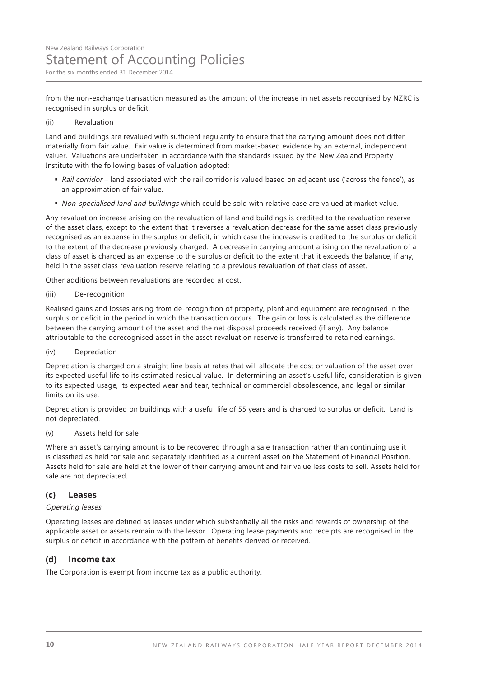from the non-exchange transaction measured as the amount of the increase in net assets recognised by NZRC is recognised in surplus or deficit.

#### (ii) Revaluation

Land and buildings are revalued with sufficient regularity to ensure that the carrying amount does not differ materially from fair value. Fair value is determined from market-based evidence by an external, independent valuer. Valuations are undertaken in accordance with the standards issued by the New Zealand Property Institute with the following bases of valuation adopted:

- Rail corridor land associated with the rail corridor is valued based on adjacent use ('across the fence'), as an approximation of fair value.
- Non-specialised land and buildings which could be sold with relative ease are valued at market value.

Any revaluation increase arising on the revaluation of land and buildings is credited to the revaluation reserve of the asset class, except to the extent that it reverses a revaluation decrease for the same asset class previously recognised as an expense in the surplus or deficit, in which case the increase is credited to the surplus or deficit to the extent of the decrease previously charged. A decrease in carrying amount arising on the revaluation of a class of asset is charged as an expense to the surplus or deficit to the extent that it exceeds the balance, if any, held in the asset class revaluation reserve relating to a previous revaluation of that class of asset.

Other additions between revaluations are recorded at cost.

#### (iii) De-recognition

Realised gains and losses arising from de-recognition of property, plant and equipment are recognised in the surplus or deficit in the period in which the transaction occurs. The gain or loss is calculated as the difference between the carrying amount of the asset and the net disposal proceeds received (if any). Any balance attributable to the derecognised asset in the asset revaluation reserve is transferred to retained earnings.

(iv) Depreciation

Depreciation is charged on a straight line basis at rates that will allocate the cost or valuation of the asset over its expected useful life to its estimated residual value. In determining an asset's useful life, consideration is given to its expected usage, its expected wear and tear, technical or commercial obsolescence, and legal or similar limits on its use.

Depreciation is provided on buildings with a useful life of 55 years and is charged to surplus or deficit. Land is not depreciated.

(v) Assets held for sale

Where an asset's carrying amount is to be recovered through a sale transaction rather than continuing use it is classified as held for sale and separately identified as a current asset on the Statement of Financial Position. Assets held for sale are held at the lower of their carrying amount and fair value less costs to sell. Assets held for sale are not depreciated.

#### **(c) Leases**

#### Operating leases

Operating leases are defined as leases under which substantially all the risks and rewards of ownership of the applicable asset or assets remain with the lessor. Operating lease payments and receipts are recognised in the surplus or deficit in accordance with the pattern of benefits derived or received.

#### **(d) Income tax**

The Corporation is exempt from income tax as a public authority.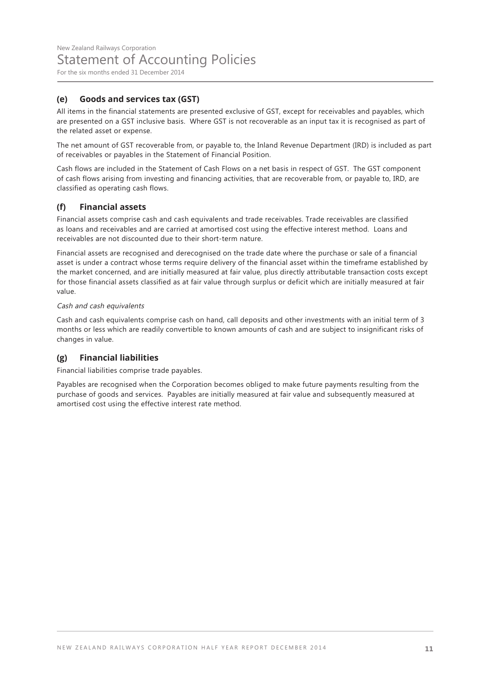#### **(e) Goods and services tax (GST)**

All items in the financial statements are presented exclusive of GST, except for receivables and payables, which are presented on a GST inclusive basis. Where GST is not recoverable as an input tax it is recognised as part of the related asset or expense.

The net amount of GST recoverable from, or payable to, the Inland Revenue Department (IRD) is included as part of receivables or payables in the Statement of Financial Position.

Cash flows are included in the Statement of Cash Flows on a net basis in respect of GST. The GST component of cash flows arising from investing and financing activities, that are recoverable from, or payable to, IRD, are classified as operating cash flows.

#### **(f) Financial assets**

Financial assets comprise cash and cash equivalents and trade receivables. Trade receivables are classified as loans and receivables and are carried at amortised cost using the effective interest method. Loans and receivables are not discounted due to their short-term nature.

Financial assets are recognised and derecognised on the trade date where the purchase or sale of a financial asset is under a contract whose terms require delivery of the financial asset within the timeframe established by the market concerned, and are initially measured at fair value, plus directly attributable transaction costs except for those financial assets classified as at fair value through surplus or deficit which are initially measured at fair value.

#### Cash and cash equivalents

Cash and cash equivalents comprise cash on hand, call deposits and other investments with an initial term of 3 months or less which are readily convertible to known amounts of cash and are subject to insignificant risks of changes in value.

#### **(g) Financial liabilities**

Financial liabilities comprise trade payables.

Payables are recognised when the Corporation becomes obliged to make future payments resulting from the purchase of goods and services. Payables are initially measured at fair value and subsequently measured at amortised cost using the effective interest rate method.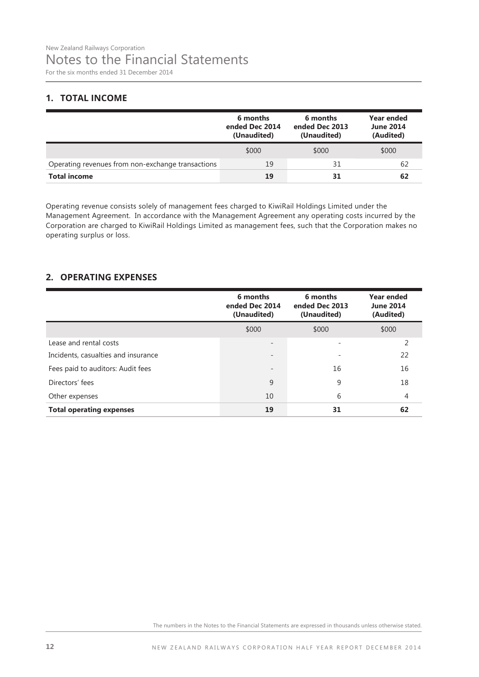#### **1. TOTAL INCOME**

|                                                   | 6 months<br>ended Dec 2014<br>(Unaudited) | 6 months<br>ended Dec 2013<br>(Unaudited) | Year ended<br><b>June 2014</b><br>(Audited) |
|---------------------------------------------------|-------------------------------------------|-------------------------------------------|---------------------------------------------|
|                                                   | \$000                                     | \$000                                     | \$000                                       |
| Operating revenues from non-exchange transactions | 19                                        | 31                                        | 62                                          |
| <b>Total income</b>                               | 19                                        | 31                                        | 62                                          |

Operating revenue consists solely of management fees charged to KiwiRail Holdings Limited under the Management Agreement. In accordance with the Management Agreement any operating costs incurred by the Corporation are charged to KiwiRail Holdings Limited as management fees, such that the Corporation makes no operating surplus or loss.

#### **2. OPERATING EXPENSES**

|                                     | 6 months<br>ended Dec 2014<br>(Unaudited) | 6 months<br>ended Dec 2013<br>(Unaudited) | <b>Year ended</b><br><b>June 2014</b><br>(Audited) |
|-------------------------------------|-------------------------------------------|-------------------------------------------|----------------------------------------------------|
|                                     | \$000                                     | \$000                                     | \$000                                              |
| Lease and rental costs              |                                           |                                           | 2                                                  |
| Incidents, casualties and insurance |                                           |                                           | 22                                                 |
| Fees paid to auditors: Audit fees   |                                           | 16                                        | 16                                                 |
| Directors' fees                     | 9                                         | 9                                         | 18                                                 |
| Other expenses                      | 10                                        | 6                                         | 4                                                  |
| <b>Total operating expenses</b>     | 19                                        | 31                                        | 62                                                 |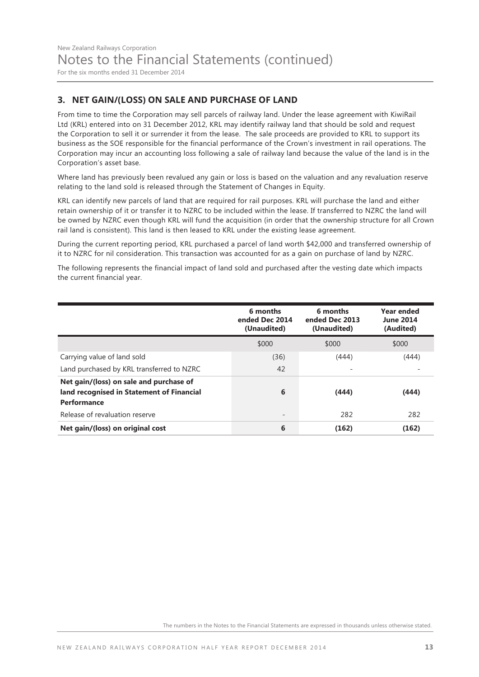For the six months ended 31 December 2014

#### **3. NET GAIN/(LOSS) ON SALE AND PURCHASE OF LAND**

From time to time the Corporation may sell parcels of railway land. Under the lease agreement with KiwiRail Ltd (KRL) entered into on 31 December 2012, KRL may identify railway land that should be sold and request the Corporation to sell it or surrender it from the lease. The sale proceeds are provided to KRL to support its business as the SOE responsible for the financial performance of the Crown's investment in rail operations. The Corporation may incur an accounting loss following a sale of railway land because the value of the land is in the Corporation's asset base.

Where land has previously been revalued any gain or loss is based on the valuation and any revaluation reserve relating to the land sold is released through the Statement of Changes in Equity.

KRL can identify new parcels of land that are required for rail purposes. KRL will purchase the land and either retain ownership of it or transfer it to NZRC to be included within the lease. If transferred to NZRC the land will be owned by NZRC even though KRL will fund the acquisition (in order that the ownership structure for all Crown rail land is consistent). This land is then leased to KRL under the existing lease agreement.

During the current reporting period, KRL purchased a parcel of land worth \$42,000 and transferred ownership of it to NZRC for nil consideration. This transaction was accounted for as a gain on purchase of land by NZRC.

The following represents the financial impact of land sold and purchased after the vesting date which impacts the current financial year.

|                                                                                                     | 6 months<br>ended Dec 2014<br>(Unaudited) | 6 months<br>ended Dec 2013<br>(Unaudited) | Year ended<br><b>June 2014</b><br>(Audited) |
|-----------------------------------------------------------------------------------------------------|-------------------------------------------|-------------------------------------------|---------------------------------------------|
|                                                                                                     | \$000                                     | \$000                                     | \$000                                       |
| Carrying value of land sold                                                                         | (36)                                      | (444)                                     | (444)                                       |
| Land purchased by KRL transferred to NZRC                                                           | 42                                        |                                           |                                             |
| Net gain/(loss) on sale and purchase of<br>land recognised in Statement of Financial<br>Performance | 6                                         | (444)                                     | (444)                                       |
| Release of revaluation reserve                                                                      |                                           | 282                                       | 282                                         |
| Net gain/(loss) on original cost                                                                    | 6                                         | (162)                                     | (162)                                       |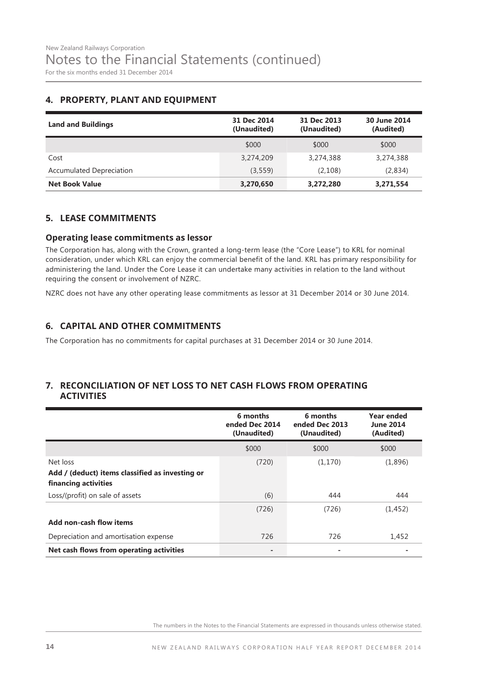#### **4. PROPERTY, PLANT AND EQUIPMENT**

| <b>Land and Buildings</b>       | 31 Dec 2014<br>(Unaudited) | 31 Dec 2013<br>(Unaudited) | 30 June 2014<br>(Audited) |
|---------------------------------|----------------------------|----------------------------|---------------------------|
|                                 | \$000                      | \$000                      | \$000                     |
| Cost                            | 3,274,209                  | 3,274,388                  | 3,274,388                 |
| <b>Accumulated Depreciation</b> | (3, 559)                   | (2,108)                    | (2,834)                   |
| <b>Net Book Value</b>           | 3,270,650                  | 3,272,280                  | 3,271,554                 |

#### **5. LEASE COMMITMENTS**

#### **Operating lease commitments as lessor**

The Corporation has, along with the Crown, granted a long-term lease (the "Core Lease") to KRL for nominal consideration, under which KRL can enjoy the commercial benefit of the land. KRL has primary responsibility for administering the land. Under the Core Lease it can undertake many activities in relation to the land without requiring the consent or involvement of NZRC.

NZRC does not have any other operating lease commitments as lessor at 31 December 2014 or 30 June 2014.

#### **6. CAPITAL AND OTHER COMMITMENTS**

The Corporation has no commitments for capital purchases at 31 December 2014 or 30 June 2014.

#### **7. RECONCILIATION OF NET LOSS TO NET CASH FLOWS FROM OPERATING ACTIVITIES**

|                                                                                     | 6 months<br>ended Dec 2014<br>(Unaudited) | 6 months<br>ended Dec 2013<br>(Unaudited) | <b>Year ended</b><br><b>June 2014</b><br>(Audited) |
|-------------------------------------------------------------------------------------|-------------------------------------------|-------------------------------------------|----------------------------------------------------|
|                                                                                     | \$000                                     | \$000                                     | \$000                                              |
| Net loss<br>Add / (deduct) items classified as investing or<br>financing activities | (720)                                     | (1, 170)                                  | (1,896)                                            |
| Loss/(profit) on sale of assets                                                     | (6)                                       | 444                                       | 444                                                |
| Add non-cash flow items                                                             | (726)                                     | (726)                                     | (1, 452)                                           |
| Depreciation and amortisation expense                                               | 726                                       | 726                                       | 1,452                                              |
| Net cash flows from operating activities                                            | -                                         |                                           |                                                    |